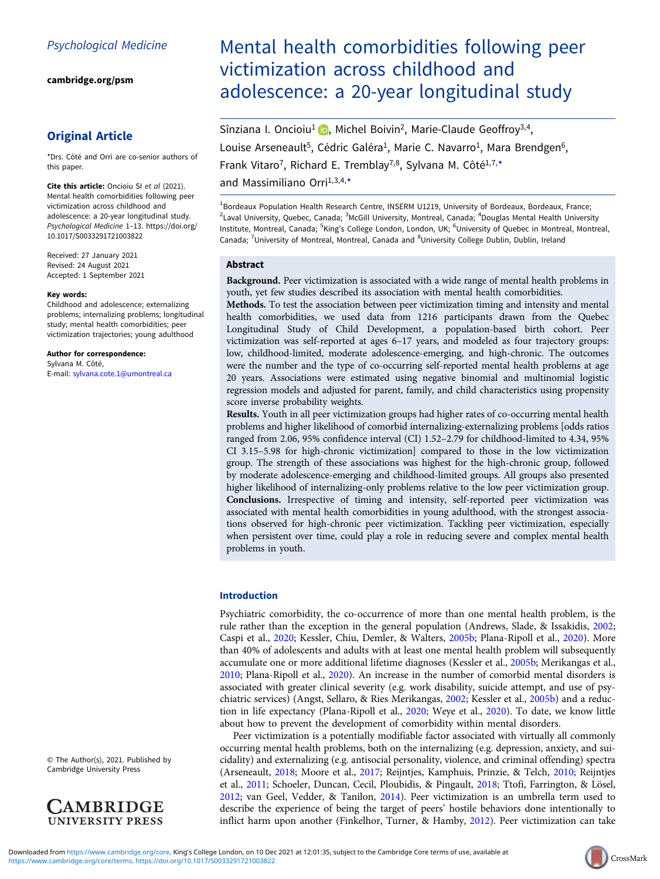[cambridge.org/psm](https://www.cambridge.org/psm)

# Original Article

\*Drs. Côté and Orri are co-senior authors of this paper.

Cite this article: Oncioiu SI et al (2021). Mental health comorbidities following peer victimization across childhood and adolescence: a 20-year longitudinal study. Psychological Medicine 1–13. [https://doi.org/](https://doi.org/10.1017/S0033291721003822) [10.1017/S0033291721003822](https://doi.org/10.1017/S0033291721003822)

Received: 27 January 2021 Revised: 24 August 2021 Accepted: 1 September 2021

#### Key words:

Childhood and adolescence; externalizing problems; internalizing problems; longitudinal study; mental health comorbidities; peer victimization trajectories; young adulthood

Author for correspondence: Sylvana M. Côté, E-mail: [sylvana.cote.1@umontreal.ca](mailto:sylvana.cote.1@umontreal.ca)

© The Author(s), 2021. Published by Cambridge University Press



# Mental health comorbidities following peer victimization across childhood and adolescence: a 20-year longitudinal study

Sînziana I. Oncioiu<sup>1</sup> (D. Michel Boivin<sup>2</sup>[,](https://orcid.org/0000-0002-5208-2111) Marie-Claude Geoffroy<sup>3,4</sup>, Louise Arseneault<sup>5</sup>, Cédric Galéra<sup>1</sup>, Marie C. Navarro<sup>1</sup>, Mara Brendgen<sup>6</sup>, Frank Vitaro<sup>7</sup>, Richard E. Tremblay<sup>7,8</sup>, Sylvana M. Côté<sup>1,7,\*</sup> and Massimiliano Orri $1,3,4,*$ 

<sup>1</sup>Bordeaux Population Health Research Centre, INSERM U1219, University of Bordeaux, Bordeaux, France; <sup>2</sup>Laval University, Quebec, Canada; <sup>3</sup>McGill University, Montreal, Canada; <sup>4</sup>Douglas Mental Health University Institute, Montreal, Canada; <sup>5</sup>King's College London, London, UK; <sup>6</sup>University of Quebec in Montreal, Montreal, Canada; <sup>7</sup>University of Montreal, Montreal, Canada and <sup>8</sup>University College Dublin, Dublin, Ireland

#### Abstract

Background. Peer victimization is associated with a wide range of mental health problems in youth, yet few studies described its association with mental health comorbidities.

Methods. To test the association between peer victimization timing and intensity and mental health comorbidities, we used data from 1216 participants drawn from the Quebec Longitudinal Study of Child Development, a population-based birth cohort. Peer victimization was self-reported at ages 6–17 years, and modeled as four trajectory groups: low, childhood-limited, moderate adolescence-emerging, and high-chronic. The outcomes were the number and the type of co-occurring self-reported mental health problems at age 20 years. Associations were estimated using negative binomial and multinomial logistic regression models and adjusted for parent, family, and child characteristics using propensity score inverse probability weights.

Results. Youth in all peer victimization groups had higher rates of co-occurring mental health problems and higher likelihood of comorbid internalizing-externalizing problems [odds ratios ranged from 2.06, 95% confidence interval (CI) 1.52–2.79 for childhood-limited to 4.34, 95% CI 3.15–5.98 for high-chronic victimization] compared to those in the low victimization group. The strength of these associations was highest for the high-chronic group, followed by moderate adolescence-emerging and childhood-limited groups. All groups also presented higher likelihood of internalizing-only problems relative to the low peer victimization group. Conclusions. Irrespective of timing and intensity, self-reported peer victimization was associated with mental health comorbidities in young adulthood, with the strongest associations observed for high-chronic peer victimization. Tackling peer victimization, especially when persistent over time, could play a role in reducing severe and complex mental health problems in youth.

#### Introduction

Psychiatric comorbidity, the co-occurrence of more than one mental health problem, is the rule rather than the exception in the general population (Andrews, Slade, & Issakidis, [2002](#page-10-0); Caspi et al., [2020](#page-10-0); Kessler, Chiu, Demler, & Walters, [2005b](#page-11-0); Plana-Ripoll et al., [2020\)](#page-11-0). More than 40% of adolescents and adults with at least one mental health problem will subsequently accumulate one or more additional lifetime diagnoses (Kessler et al., [2005b;](#page-11-0) Merikangas et al., [2010;](#page-11-0) Plana-Ripoll et al., [2020\)](#page-11-0). An increase in the number of comorbid mental disorders is associated with greater clinical severity (e.g. work disability, suicide attempt, and use of psychiatric services) (Angst, Sellaro, & Ries Merikangas, [2002;](#page-10-0) Kessler et al., [2005b](#page-11-0)) and a reduction in life expectancy (Plana-Ripoll et al., [2020;](#page-11-0) Weye et al., [2020](#page-12-0)). To date, we know little about how to prevent the development of comorbidity within mental disorders.

Peer victimization is a potentially modifiable factor associated with virtually all commonly occurring mental health problems, both on the internalizing (e.g. depression, anxiety, and suicidality) and externalizing (e.g. antisocial personality, violence, and criminal offending) spectra (Arseneault, [2018](#page-10-0); Moore et al., [2017;](#page-11-0) Reijntjes, Kamphuis, Prinzie, & Telch, [2010;](#page-11-0) Reijntjes et al., [2011;](#page-11-0) Schoeler, Duncan, Cecil, Ploubidis, & Pingault, [2018;](#page-11-0) Ttofi, Farrington, & Lösel, [2012;](#page-12-0) van Geel, Vedder, & Tanilon, [2014](#page-12-0)). Peer victimization is an umbrella term used to describe the experience of being the target of peers' hostile behaviors done intentionally to inflict harm upon another (Finkelhor, Turner, & Hamby, [2012](#page-10-0)). Peer victimization can take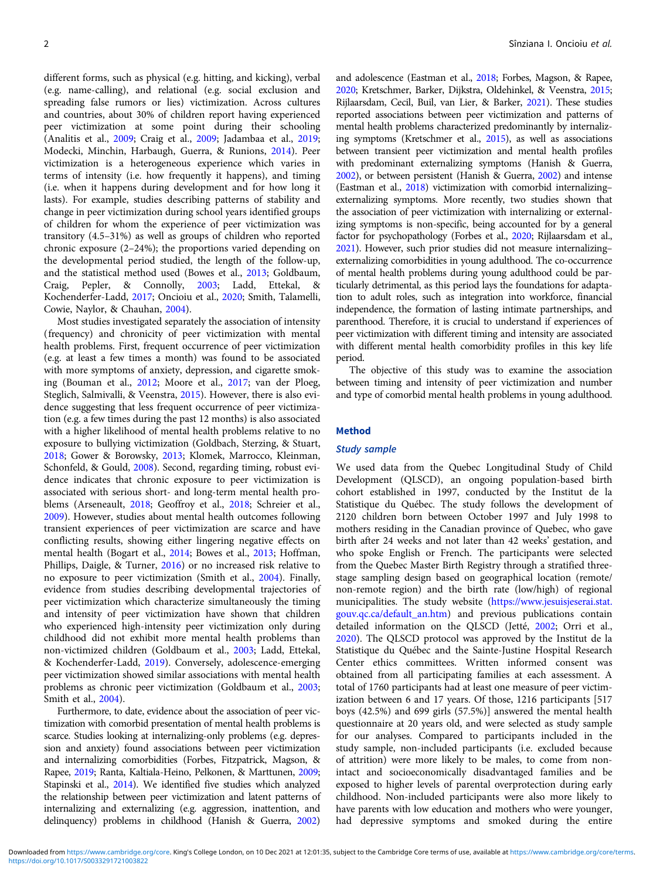different forms, such as physical (e.g. hitting, and kicking), verbal (e.g. name-calling), and relational (e.g. social exclusion and spreading false rumors or lies) victimization. Across cultures and countries, about 30% of children report having experienced peer victimization at some point during their schooling (Analitis et al., [2009;](#page-10-0) Craig et al., [2009;](#page-10-0) Jadambaa et al., [2019](#page-11-0); Modecki, Minchin, Harbaugh, Guerra, & Runions, [2014\)](#page-11-0). Peer victimization is a heterogeneous experience which varies in terms of intensity (i.e. how frequently it happens), and timing (i.e. when it happens during development and for how long it lasts). For example, studies describing patterns of stability and change in peer victimization during school years identified groups of children for whom the experience of peer victimization was transitory (4.5–31%) as well as groups of children who reported chronic exposure (2–24%); the proportions varied depending on the developmental period studied, the length of the follow-up, and the statistical method used (Bowes et al., [2013;](#page-10-0) Goldbaum, Craig, Pepler, & Connolly, [2003](#page-10-0); Ladd, Ettekal, & Kochenderfer-Ladd, [2017](#page-11-0); Oncioiu et al., [2020;](#page-11-0) Smith, Talamelli, Cowie, Naylor, & Chauhan, [2004\)](#page-11-0).

Most studies investigated separately the association of intensity (frequency) and chronicity of peer victimization with mental health problems. First, frequent occurrence of peer victimization (e.g. at least a few times a month) was found to be associated with more symptoms of anxiety, depression, and cigarette smoking (Bouman et al., [2012;](#page-10-0) Moore et al., [2017;](#page-11-0) van der Ploeg, Steglich, Salmivalli, & Veenstra, [2015\)](#page-12-0). However, there is also evidence suggesting that less frequent occurrence of peer victimization (e.g. a few times during the past 12 months) is also associated with a higher likelihood of mental health problems relative to no exposure to bullying victimization (Goldbach, Sterzing, & Stuart, [2018;](#page-10-0) Gower & Borowsky, [2013;](#page-10-0) Klomek, Marrocco, Kleinman, Schonfeld, & Gould, [2008\)](#page-11-0). Second, regarding timing, robust evidence indicates that chronic exposure to peer victimization is associated with serious short- and long-term mental health problems (Arseneault, [2018;](#page-10-0) Geoffroy et al., [2018](#page-10-0); Schreier et al., [2009\)](#page-11-0). However, studies about mental health outcomes following transient experiences of peer victimization are scarce and have conflicting results, showing either lingering negative effects on mental health (Bogart et al., [2014](#page-10-0); Bowes et al., [2013;](#page-10-0) Hoffman, Phillips, Daigle, & Turner, [2016\)](#page-10-0) or no increased risk relative to no exposure to peer victimization (Smith et al., [2004\)](#page-11-0). Finally, evidence from studies describing developmental trajectories of peer victimization which characterize simultaneously the timing and intensity of peer victimization have shown that children who experienced high-intensity peer victimization only during childhood did not exhibit more mental health problems than non-victimized children (Goldbaum et al., [2003](#page-10-0); Ladd, Ettekal, & Kochenderfer-Ladd, [2019\)](#page-11-0). Conversely, adolescence-emerging peer victimization showed similar associations with mental health problems as chronic peer victimization (Goldbaum et al., [2003](#page-10-0); Smith et al., [2004\)](#page-11-0).

Furthermore, to date, evidence about the association of peer victimization with comorbid presentation of mental health problems is scarce. Studies looking at internalizing-only problems (e.g. depression and anxiety) found associations between peer victimization and internalizing comorbidities (Forbes, Fitzpatrick, Magson, & Rapee, [2019;](#page-10-0) Ranta, Kaltiala-Heino, Pelkonen, & Marttunen, [2009](#page-11-0); Stapinski et al., [2014\)](#page-11-0). We identified five studies which analyzed the relationship between peer victimization and latent patterns of internalizing and externalizing (e.g. aggression, inattention, and delinquency) problems in childhood (Hanish & Guerra, [2002\)](#page-10-0)

and adolescence (Eastman et al., [2018;](#page-10-0) Forbes, Magson, & Rapee, [2020;](#page-10-0) Kretschmer, Barker, Dijkstra, Oldehinkel, & Veenstra, [2015;](#page-11-0) Rijlaarsdam, Cecil, Buil, van Lier, & Barker, [2021](#page-11-0)). These studies reported associations between peer victimization and patterns of mental health problems characterized predominantly by internalizing symptoms (Kretschmer et al., [2015](#page-11-0)), as well as associations between transient peer victimization and mental health profiles with predominant externalizing symptoms (Hanish & Guerra, [2002\)](#page-10-0), or between persistent (Hanish & Guerra, [2002](#page-10-0)) and intense (Eastman et al., [2018\)](#page-10-0) victimization with comorbid internalizing– externalizing symptoms. More recently, two studies shown that the association of peer victimization with internalizing or externalizing symptoms is non-specific, being accounted for by a general factor for psychopathology (Forbes et al., [2020;](#page-10-0) Rijlaarsdam et al., [2021\)](#page-11-0). However, such prior studies did not measure internalizing– externalizing comorbidities in young adulthood. The co-occurrence of mental health problems during young adulthood could be particularly detrimental, as this period lays the foundations for adaptation to adult roles, such as integration into workforce, financial independence, the formation of lasting intimate partnerships, and parenthood. Therefore, it is crucial to understand if experiences of peer victimization with different timing and intensity are associated with different mental health comorbidity profiles in this key life period.

The objective of this study was to examine the association between timing and intensity of peer victimization and number and type of comorbid mental health problems in young adulthood.

## Method

#### Study sample

We used data from the Quebec Longitudinal Study of Child Development (QLSCD), an ongoing population-based birth cohort established in 1997, conducted by the Institut de la Statistique du Québec. The study follows the development of 2120 children born between October 1997 and July 1998 to mothers residing in the Canadian province of Quebec, who gave birth after 24 weeks and not later than 42 weeks' gestation, and who spoke English or French. The participants were selected from the Quebec Master Birth Registry through a stratified threestage sampling design based on geographical location (remote/ non-remote region) and the birth rate (low/high) of regional municipalities. The study website ([https://www.jesuisjeserai.stat.](https://www.jesuisjeserai.stat.gouv.qc.ca/default_an.htm) [gouv.qc.ca/default\\_an.htm\)](https://www.jesuisjeserai.stat.gouv.qc.ca/default_an.htm) and previous publications contain detailed information on the QLSCD (Jetté, [2002](#page-11-0); Orri et al., [2020\)](#page-11-0). The QLSCD protocol was approved by the Institut de la Statistique du Québec and the Sainte-Justine Hospital Research Center ethics committees. Written informed consent was obtained from all participating families at each assessment. A total of 1760 participants had at least one measure of peer victimization between 6 and 17 years. Of those, 1216 participants [517 boys (42.5%) and 699 girls (57.5%)] answered the mental health questionnaire at 20 years old, and were selected as study sample for our analyses. Compared to participants included in the study sample, non-included participants (i.e. excluded because of attrition) were more likely to be males, to come from nonintact and socioeconomically disadvantaged families and be exposed to higher levels of parental overprotection during early childhood. Non-included participants were also more likely to have parents with low education and mothers who were younger, had depressive symptoms and smoked during the entire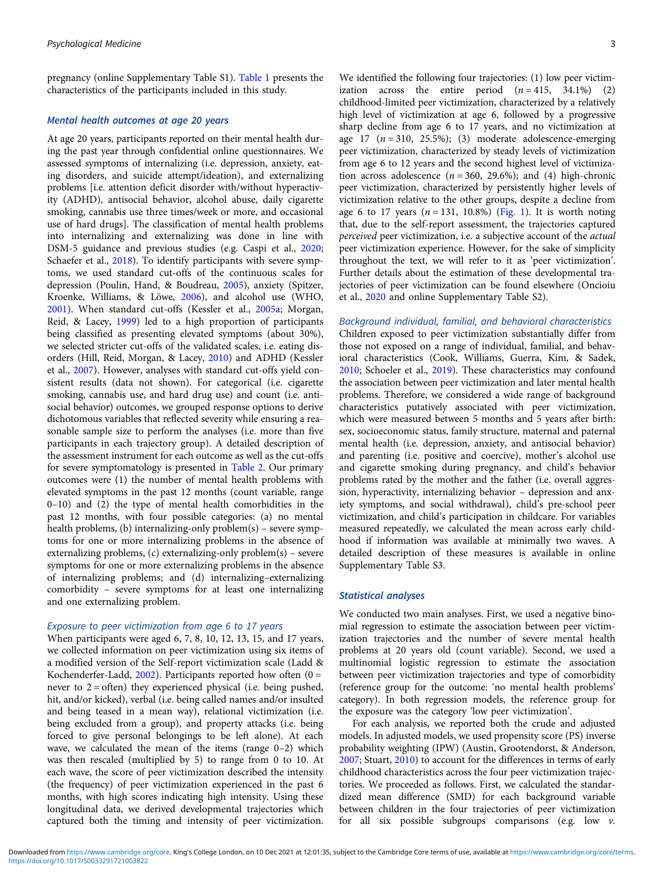pregnancy (online Supplementary Table S1). [Table 1](#page-3-0) presents the characteristics of the participants included in this study.

# Mental health outcomes at age 20 years

At age 20 years, participants reported on their mental health during the past year through confidential online questionnaires. We assessed symptoms of internalizing (i.e. depression, anxiety, eating disorders, and suicide attempt/ideation), and externalizing problems [i.e. attention deficit disorder with/without hyperactivity (ADHD), antisocial behavior, alcohol abuse, daily cigarette smoking, cannabis use three times/week or more, and occasional use of hard drugs]. The classification of mental health problems into internalizing and externalizing was done in line with DSM-5 guidance and previous studies (e.g. Caspi et al., [2020;](#page-10-0) Schaefer et al., [2018\)](#page-11-0). To identify participants with severe symptoms, we used standard cut-offs of the continuous scales for depression (Poulin, Hand, & Boudreau, [2005\)](#page-11-0), anxiety (Spitzer, Kroenke, Williams, & Löwe, [2006\)](#page-11-0), and alcohol use (WHO, [2001\)](#page-12-0). When standard cut-offs (Kessler et al., [2005a;](#page-11-0) Morgan, Reid, & Lacey, [1999](#page-11-0)) led to a high proportion of participants being classified as presenting elevated symptoms (about 30%), we selected stricter cut-offs of the validated scales, i.e. eating disorders (Hill, Reid, Morgan, & Lacey, [2010](#page-10-0)) and ADHD (Kessler et al., [2007](#page-11-0)). However, analyses with standard cut-offs yield consistent results (data not shown). For categorical (i.e. cigarette smoking, cannabis use, and hard drug use) and count (i.e. antisocial behavior) outcomes, we grouped response options to derive dichotomous variables that reflected severity while ensuring a reasonable sample size to perform the analyses (i.e. more than five participants in each trajectory group). A detailed description of the assessment instrument for each outcome as well as the cut-offs for severe symptomatology is presented in [Table 2](#page-5-0). Our primary outcomes were (1) the number of mental health problems with elevated symptoms in the past 12 months (count variable, range 0–10) and (2) the type of mental health comorbidities in the past 12 months, with four possible categories: (a) no mental health problems, (b) internalizing-only problem(s) – severe symptoms for one or more internalizing problems in the absence of externalizing problems, (c) externalizing-only problem(s) – severe symptoms for one or more externalizing problems in the absence of internalizing problems; and (d) internalizing–externalizing comorbidity – severe symptoms for at least one internalizing and one externalizing problem.

#### Exposure to peer victimization from age 6 to 17 years

When participants were aged 6, 7, 8, 10, 12, 13, 15, and 17 years, we collected information on peer victimization using six items of a modified version of the Self-report victimization scale (Ladd & Kochenderfer-Ladd, [2002](#page-11-0)). Participants reported how often  $(0 =$ never to  $2 =$  often) they experienced physical (i.e. being pushed, hit, and/or kicked), verbal (i.e. being called names and/or insulted and being teased in a mean way), relational victimization (i.e. being excluded from a group), and property attacks (i.e. being forced to give personal belongings to be left alone). At each wave, we calculated the mean of the items (range 0–2) which was then rescaled (multiplied by 5) to range from 0 to 10. At each wave, the score of peer victimization described the intensity (the frequency) of peer victimization experienced in the past 6 months, with high scores indicating high intensity. Using these longitudinal data, we derived developmental trajectories which captured both the timing and intensity of peer victimization.

We identified the following four trajectories: (1) low peer victimization across the entire period  $(n = 415, 34.1\%)$  (2) childhood-limited peer victimization, characterized by a relatively high level of victimization at age 6, followed by a progressive sharp decline from age 6 to 17 years, and no victimization at age 17  $(n = 310, 25.5\%)$ ; (3) moderate adolescence-emerging peer victimization, characterized by steady levels of victimization from age 6 to 12 years and the second highest level of victimization across adolescence  $(n = 360, 29.6\%)$ ; and (4) high-chronic peer victimization, characterized by persistently higher levels of victimization relative to the other groups, despite a decline from age 6 to 17 years  $(n = 131, 10.8\%)$  [\(Fig. 1](#page-7-0)). It is worth noting that, due to the self-report assessment, the trajectories captured perceived peer victimization, i.e. a subjective account of the actual peer victimization experience. However, for the sake of simplicity throughout the text, we will refer to it as 'peer victimization'. Further details about the estimation of these developmental trajectories of peer victimization can be found elsewhere (Oncioiu et al., [2020](#page-11-0) and online Supplementary Table S2).

Background individual, familial, and behavioral characteristics Children exposed to peer victimization substantially differ from those not exposed on a range of individual, familial, and behavioral characteristics (Cook, Williams, Guerra, Kim, & Sadek, [2010](#page-10-0); Schoeler et al., [2019](#page-11-0)). These characteristics may confound the association between peer victimization and later mental health problems. Therefore, we considered a wide range of background characteristics putatively associated with peer victimization, which were measured between 5 months and 5 years after birth: sex, socioeconomic status, family structure, maternal and paternal mental health (i.e. depression, anxiety, and antisocial behavior) and parenting (i.e. positive and coercive), mother's alcohol use and cigarette smoking during pregnancy, and child's behavior problems rated by the mother and the father (i.e. overall aggression, hyperactivity, internalizing behavior – depression and anxiety symptoms, and social withdrawal), child's pre-school peer victimization, and child's participation in childcare. For variables measured repeatedly, we calculated the mean across early childhood if information was available at minimally two waves. A detailed description of these measures is available in online Supplementary Table S3.

#### Statistical analyses

We conducted two main analyses. First, we used a negative binomial regression to estimate the association between peer victimization trajectories and the number of severe mental health problems at 20 years old (count variable). Second, we used a multinomial logistic regression to estimate the association between peer victimization trajectories and type of comorbidity (reference group for the outcome: 'no mental health problems' category). In both regression models, the reference group for the exposure was the category 'low peer victimization'.

For each analysis, we reported both the crude and adjusted models. In adjusted models, we used propensity score (PS) inverse probability weighting (IPW) (Austin, Grootendorst, & Anderson, [2007](#page-10-0); Stuart, [2010](#page-12-0)) to account for the differences in terms of early childhood characteristics across the four peer victimization trajectories. We proceeded as follows. First, we calculated the standardized mean difference (SMD) for each background variable between children in the four trajectories of peer victimization for all six possible subgroups comparisons (e.g. low  $v$ .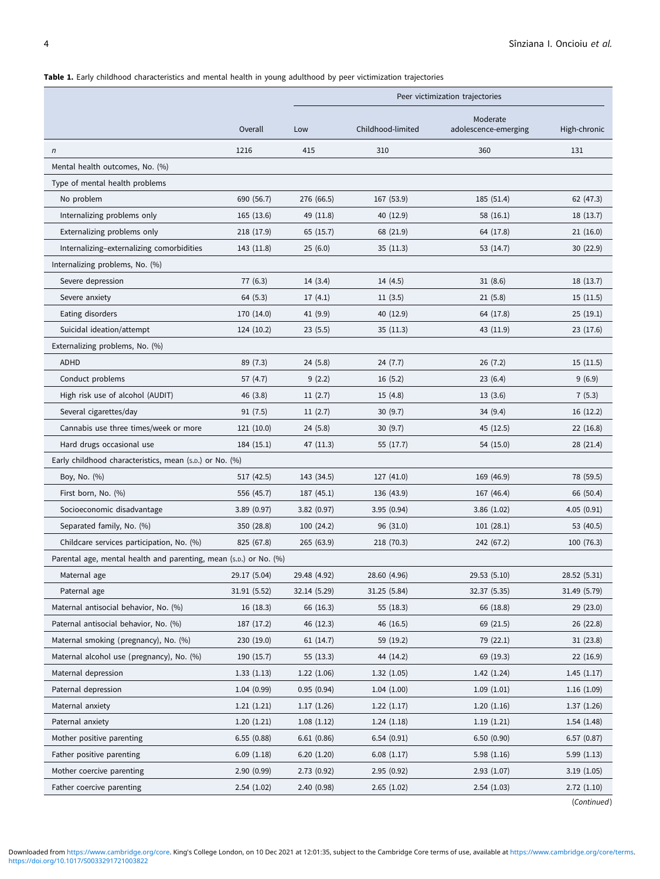# <span id="page-3-0"></span>Table 1. Early childhood characteristics and mental health in young adulthood by peer victimization trajectories

|                                                                   |              |              |                   | Peer victimization trajectories  |              |
|-------------------------------------------------------------------|--------------|--------------|-------------------|----------------------------------|--------------|
|                                                                   | Overall      | Low          | Childhood-limited | Moderate<br>adolescence-emerging | High-chronic |
| $\sqrt{n}$                                                        | 1216         | 415          | 310               | 360                              | 131          |
| Mental health outcomes, No. (%)                                   |              |              |                   |                                  |              |
| Type of mental health problems                                    |              |              |                   |                                  |              |
| No problem                                                        | 690 (56.7)   | 276 (66.5)   | 167 (53.9)        | 185 (51.4)                       | 62 (47.3)    |
| Internalizing problems only                                       | 165(13.6)    | 49 (11.8)    | 40 (12.9)         | 58 (16.1)                        | 18(13.7)     |
| Externalizing problems only                                       | 218 (17.9)   | 65(15.7)     | 68 (21.9)         | 64 (17.8)                        | 21(16.0)     |
| Internalizing-externalizing comorbidities                         | 143 (11.8)   | 25(6.0)      | 35(11.3)          | 53 (14.7)                        | 30(22.9)     |
| Internalizing problems, No. (%)                                   |              |              |                   |                                  |              |
| Severe depression                                                 | 77 (6.3)     | 14(3.4)      | 14(4.5)           | 31(8.6)                          | 18(13.7)     |
| Severe anxiety                                                    | 64 (5.3)     | 17(4.1)      | 11(3.5)           | 21(5.8)                          | 15(11.5)     |
| Eating disorders                                                  | 170 (14.0)   | 41 (9.9)     | 40 (12.9)         | 64 (17.8)                        | 25(19.1)     |
| Suicidal ideation/attempt                                         | 124(10.2)    | 23(5.5)      | 35(11.3)          | 43 (11.9)                        | 23 (17.6)    |
| Externalizing problems, No. (%)                                   |              |              |                   |                                  |              |
| <b>ADHD</b>                                                       | 89 (7.3)     | 24(5.8)      | 24 (7.7)          | 26(7.2)                          | 15(11.5)     |
| Conduct problems                                                  | 57 (4.7)     | 9(2.2)       | 16(5.2)           | 23(6.4)                          | 9(6.9)       |
| High risk use of alcohol (AUDIT)                                  | 46 (3.8)     | 11(2.7)      | 15(4.8)           | 13(3.6)                          | 7(5.3)       |
| Several cigarettes/day                                            | 91(7.5)      | 11(2.7)      | 30(9.7)           | 34 (9.4)                         | 16(12.2)     |
| Cannabis use three times/week or more                             | 121 (10.0)   | 24(5.8)      | 30(9.7)           | 45 (12.5)                        | 22(16.8)     |
| Hard drugs occasional use                                         | 184(15.1)    | 47 (11.3)    | 55 (17.7)         | 54 (15.0)                        | 28 (21.4)    |
| Early childhood characteristics, mean (s.D.) or No. (%)           |              |              |                   |                                  |              |
| Boy, No. (%)                                                      | 517 (42.5)   | 143 (34.5)   | 127 (41.0)        | 169 (46.9)                       | 78 (59.5)    |
| First born, No. (%)                                               | 556 (45.7)   | 187 (45.1)   | 136 (43.9)        | 167 (46.4)                       | 66 (50.4)    |
| Socioeconomic disadvantage                                        | 3.89(0.97)   | 3.82(0.97)   | 3.95(0.94)        | 3.86(1.02)                       | 4.05(0.91)   |
| Separated family, No. (%)                                         | 350 (28.8)   | 100 (24.2)   | 96 (31.0)         | 101(28.1)                        | 53 (40.5)    |
| Childcare services participation, No. (%)                         | 825 (67.8)   | 265 (63.9)   | 218 (70.3)        | 242 (67.2)                       | 100 (76.3)   |
| Parental age, mental health and parenting, mean (s.p.) or No. (%) |              |              |                   |                                  |              |
| Maternal age                                                      | 29.17 (5.04) | 29.48 (4.92) | 28.60 (4.96)      | 29.53 (5.10)                     | 28.52 (5.31) |
| Paternal age                                                      | 31.91 (5.52) | 32.14 (5.29) | 31.25 (5.84)      | 32.37 (5.35)                     | 31.49 (5.79) |
| Maternal antisocial behavior, No. (%)                             | 16(18.3)     | 66 (16.3)    | 55 (18.3)         | 66 (18.8)                        | 29 (23.0)    |
| Paternal antisocial behavior, No. (%)                             | 187 (17.2)   | 46 (12.3)    | 46 (16.5)         | 69 (21.5)                        | 26 (22.8)    |
| Maternal smoking (pregnancy), No. (%)                             | 230 (19.0)   | 61(14.7)     | 59 (19.2)         | 79 (22.1)                        | 31(23.8)     |
| Maternal alcohol use (pregnancy), No. (%)                         | 190 (15.7)   | 55(13.3)     | 44 (14.2)         | 69 (19.3)                        | 22(16.9)     |
| Maternal depression                                               | 1.33(1.13)   | 1.22(1.06)   | 1.32(1.05)        | 1.42(1.24)                       | 1.45(1.17)   |
| Paternal depression                                               | 1.04(0.99)   | 0.95(0.94)   | 1.04(1.00)        | 1.09(1.01)                       | 1.16(1.09)   |
| Maternal anxiety                                                  | 1.21(1.21)   | 1.17(1.26)   | 1.22(1.17)        | 1.20(1.16)                       | 1.37(1.26)   |
| Paternal anxiety                                                  | 1.20(1.21)   | 1.08(1.12)   | 1.24(1.18)        | 1.19(1.21)                       | 1.54(1.48)   |
| Mother positive parenting                                         | 6.55(0.88)   | 6.61(0.86)   | 6.54(0.91)        | 6.50(0.90)                       | 6.57(0.87)   |
| Father positive parenting                                         | 6.09(1.18)   | 6.20(1.20)   | 6.08(1.17)        | 5.98(1.16)                       | 5.99 (1.13)  |
| Mother coercive parenting                                         | 2.90(0.99)   | 2.73(0.92)   | 2.95(0.92)        | 2.93(1.07)                       | 3.19 (1.05)  |
| Father coercive parenting                                         | 2.54(1.02)   | 2.40(0.98)   | 2.65(1.02)        | 2.54(1.03)                       | 2.72(1.10)   |
|                                                                   |              |              |                   |                                  | (Continued)  |

Downloaded from<https://www.cambridge.org/core>. King's College London, on 10 Dec 2021 at 12:01:35, subject to the Cambridge Core terms of use, available at <https://www.cambridge.org/core/terms>.<br>https://doi.org/10.1017/S003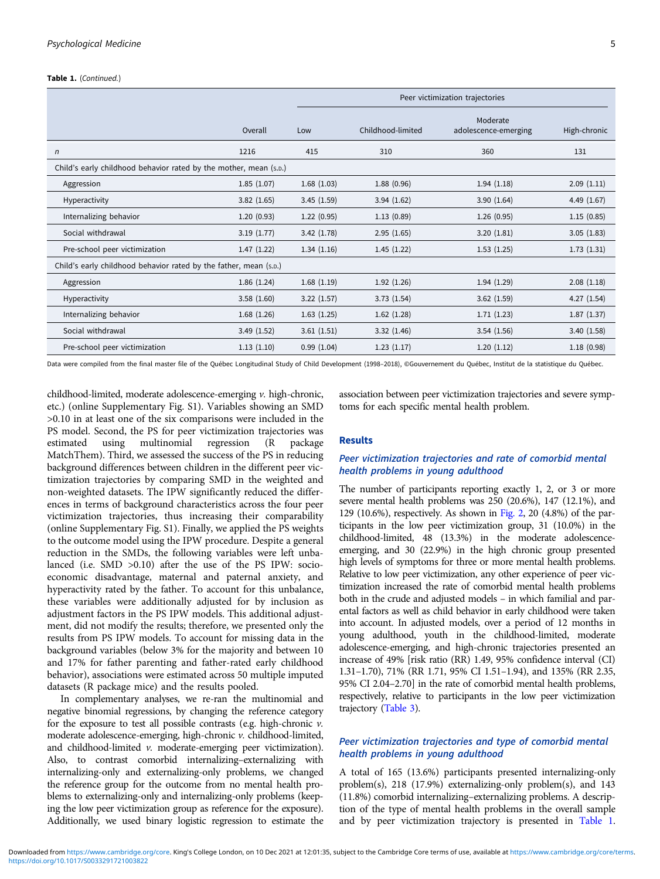#### Table 1. (Continued.)

|                                                                   |            |            |                   | Peer victimization trajectories  |              |
|-------------------------------------------------------------------|------------|------------|-------------------|----------------------------------|--------------|
|                                                                   | Overall    | Low        | Childhood-limited | Moderate<br>adolescence-emerging | High-chronic |
| $\sqrt{n}$                                                        | 1216       | 415        | 310               | 360                              | 131          |
| Child's early childhood behavior rated by the mother, mean (s.D.) |            |            |                   |                                  |              |
| Aggression                                                        | 1.85(1.07) | 1.68(1.03) | 1.88(0.96)        | 1.94(1.18)                       | 2.09(1.11)   |
| Hyperactivity                                                     | 3.82(1.65) | 3.45(1.59) | 3.94(1.62)        | 3.90(1.64)                       | 4.49(1.67)   |
| Internalizing behavior                                            | 1.20(0.93) | 1.22(0.95) | 1.13(0.89)        | 1.26(0.95)                       | 1.15(0.85)   |
| Social withdrawal                                                 | 3.19(1.77) | 3.42(1.78) | 2.95(1.65)        | 3.20(1.81)                       | 3.05(1.83)   |
| Pre-school peer victimization                                     | 1.47(1.22) | 1.34(1.16) | 1.45(1.22)        | 1.53(1.25)                       | 1.73(1.31)   |
| Child's early childhood behavior rated by the father, mean (s.p.) |            |            |                   |                                  |              |
| Aggression                                                        | 1.86(1.24) | 1.68(1.19) | 1.92(1.26)        | 1.94(1.29)                       | 2.08(1.18)   |
| Hyperactivity                                                     | 3.58(1.60) | 3.22(1.57) | 3.73(1.54)        | 3.62(1.59)                       | 4.27(1.54)   |
| Internalizing behavior                                            | 1.68(1.26) | 1.63(1.25) | 1.62(1.28)        | 1.71(1.23)                       | 1.87(1.37)   |
| Social withdrawal                                                 | 3.49(1.52) | 3.61(1.51) | 3.32(1.46)        | 3.54(1.56)                       | 3.40(1.58)   |
| Pre-school peer victimization                                     | 1.13(1.10) | 0.99(1.04) | 1.23(1.17)        | 1.20(1.12)                       | 1.18(0.98)   |

Data were compiled from the final master file of the Québec Longitudinal Study of Child Development (1998–2018), ©Gouvernement du Québec, Institut de la statistique du Québec.

childhood-limited, moderate adolescence-emerging v. high-chronic, etc.) (online Supplementary Fig. S1). Variables showing an SMD >0.10 in at least one of the six comparisons were included in the PS model. Second, the PS for peer victimization trajectories was estimated using multinomial regression (R package MatchThem). Third, we assessed the success of the PS in reducing background differences between children in the different peer victimization trajectories by comparing SMD in the weighted and non-weighted datasets. The IPW significantly reduced the differences in terms of background characteristics across the four peer victimization trajectories, thus increasing their comparability (online Supplementary Fig. S1). Finally, we applied the PS weights to the outcome model using the IPW procedure. Despite a general reduction in the SMDs, the following variables were left unbalanced (i.e. SMD >0.10) after the use of the PS IPW: socioeconomic disadvantage, maternal and paternal anxiety, and hyperactivity rated by the father. To account for this unbalance, these variables were additionally adjusted for by inclusion as adjustment factors in the PS IPW models. This additional adjustment, did not modify the results; therefore, we presented only the results from PS IPW models. To account for missing data in the background variables (below 3% for the majority and between 10 and 17% for father parenting and father-rated early childhood behavior), associations were estimated across 50 multiple imputed datasets (R package mice) and the results pooled.

In complementary analyses, we re-ran the multinomial and negative binomial regressions, by changing the reference category for the exposure to test all possible contrasts (e.g. high-chronic  $\nu$ . moderate adolescence-emerging, high-chronic v. childhood-limited, and childhood-limited v. moderate-emerging peer victimization). Also, to contrast comorbid internalizing–externalizing with internalizing-only and externalizing-only problems, we changed the reference group for the outcome from no mental health problems to externalizing-only and internalizing-only problems (keeping the low peer victimization group as reference for the exposure). Additionally, we used binary logistic regression to estimate the

association between peer victimization trajectories and severe symptoms for each specific mental health problem.

#### Results

# Peer victimization trajectories and rate of comorbid mental health problems in young adulthood

The number of participants reporting exactly 1, 2, or 3 or more severe mental health problems was 250 (20.6%), 147 (12.1%), and 129 (10.6%), respectively. As shown in [Fig. 2](#page-7-0), 20 (4.8%) of the participants in the low peer victimization group, 31 (10.0%) in the childhood-limited, 48 (13.3%) in the moderate adolescenceemerging, and 30 (22.9%) in the high chronic group presented high levels of symptoms for three or more mental health problems. Relative to low peer victimization, any other experience of peer victimization increased the rate of comorbid mental health problems both in the crude and adjusted models – in which familial and parental factors as well as child behavior in early childhood were taken into account. In adjusted models, over a period of 12 months in young adulthood, youth in the childhood-limited, moderate adolescence-emerging, and high-chronic trajectories presented an increase of 49% [risk ratio (RR) 1.49, 95% confidence interval (CI) 1.31–1.70), 71% (RR 1.71, 95% CI 1.51–1.94), and 135% (RR 2.35, 95% CI 2.04–2.70] in the rate of comorbid mental health problems, respectively, relative to participants in the low peer victimization trajectory ([Table 3](#page-8-0)).

# Peer victimization trajectories and type of comorbid mental health problems in young adulthood

A total of 165 (13.6%) participants presented internalizing-only problem(s), 218 (17.9%) externalizing-only problem(s), and 143 (11.8%) comorbid internalizing–externalizing problems. A description of the type of mental health problems in the overall sample and by peer victimization trajectory is presented in [Table 1](#page-3-0).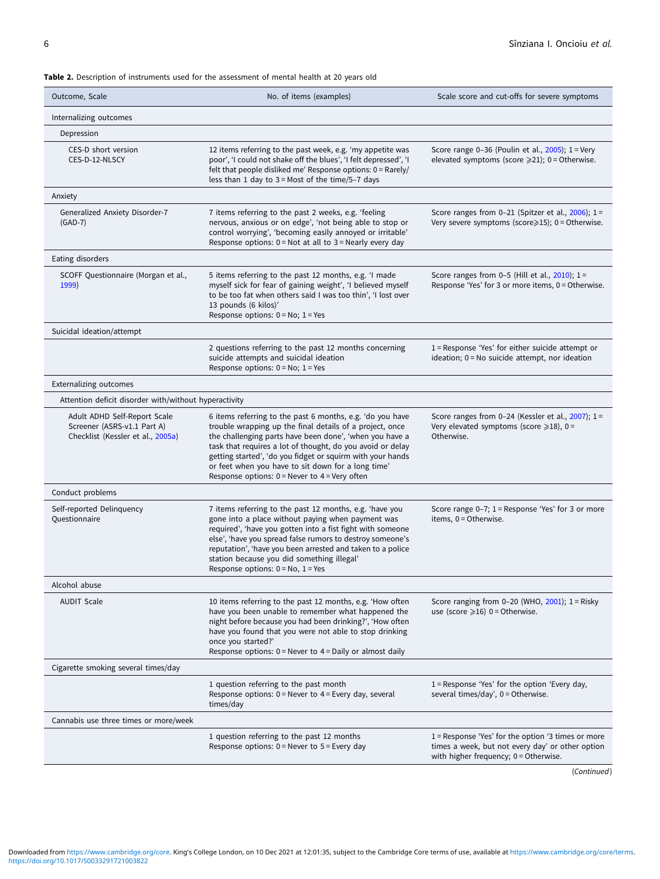<span id="page-5-0"></span>Table 2. Description of instruments used for the assessment of mental health at 20 years old

| Outcome, Scale                                                                                   | No. of items (examples)                                                                                                                                                                                                                                                                                                                                                                                                 | Scale score and cut-offs for severe symptoms                                                                                                        |
|--------------------------------------------------------------------------------------------------|-------------------------------------------------------------------------------------------------------------------------------------------------------------------------------------------------------------------------------------------------------------------------------------------------------------------------------------------------------------------------------------------------------------------------|-----------------------------------------------------------------------------------------------------------------------------------------------------|
| Internalizing outcomes                                                                           |                                                                                                                                                                                                                                                                                                                                                                                                                         |                                                                                                                                                     |
| Depression                                                                                       |                                                                                                                                                                                                                                                                                                                                                                                                                         |                                                                                                                                                     |
| CES-D short version<br>CES-D-12-NLSCY                                                            | 12 items referring to the past week, e.g. 'my appetite was<br>poor', 'I could not shake off the blues', 'I felt depressed', 'I<br>felt that people disliked me' Response options: 0 = Rarely/<br>less than 1 day to $3 =$ Most of the time/5-7 days                                                                                                                                                                     | Score range 0-36 (Poulin et al., $2005$ ); 1 = Very<br>elevated symptoms (score $\geq 21$ ); 0 = Otherwise.                                         |
| Anxiety                                                                                          |                                                                                                                                                                                                                                                                                                                                                                                                                         |                                                                                                                                                     |
| Generalized Anxiety Disorder-7<br>$(GAD-7)$                                                      | 7 items referring to the past 2 weeks, e.g. 'feeling<br>nervous, anxious or on edge', 'not being able to stop or<br>control worrying', 'becoming easily annoyed or irritable'<br>Response options: 0 = Not at all to 3 = Nearly every day                                                                                                                                                                               | Score ranges from 0-21 (Spitzer et al., $2006$ ); 1 =<br>Very severe symptoms (score>15); 0 = Otherwise.                                            |
| Eating disorders                                                                                 |                                                                                                                                                                                                                                                                                                                                                                                                                         |                                                                                                                                                     |
| SCOFF Questionnaire (Morgan et al.,<br>1999)                                                     | 5 items referring to the past 12 months, e.g. 'I made<br>myself sick for fear of gaining weight', 'I believed myself<br>to be too fat when others said I was too thin', 'I lost over<br>13 pounds (6 kilos)'<br>Response options: $0 = No$ ; $1 = Yes$                                                                                                                                                                  | Score ranges from 0-5 (Hill et al., $2010$ ); 1 =<br>Response 'Yes' for 3 or more items, 0 = Otherwise.                                             |
| Suicidal ideation/attempt                                                                        |                                                                                                                                                                                                                                                                                                                                                                                                                         |                                                                                                                                                     |
|                                                                                                  | 2 questions referring to the past 12 months concerning<br>suicide attempts and suicidal ideation<br>Response options: $0 = No$ ; $1 = Yes$                                                                                                                                                                                                                                                                              | 1 = Response 'Yes' for either suicide attempt or<br>ideation; 0 = No suicide attempt, nor ideation                                                  |
| <b>Externalizing outcomes</b>                                                                    |                                                                                                                                                                                                                                                                                                                                                                                                                         |                                                                                                                                                     |
| Attention deficit disorder with/without hyperactivity                                            |                                                                                                                                                                                                                                                                                                                                                                                                                         |                                                                                                                                                     |
| Adult ADHD Self-Report Scale<br>Screener (ASRS-v1.1 Part A)<br>Checklist (Kessler et al., 2005a) | 6 items referring to the past 6 months, e.g. 'do you have<br>trouble wrapping up the final details of a project, once<br>the challenging parts have been done', 'when you have a<br>task that requires a lot of thought, do you avoid or delay<br>getting started', 'do you fidget or squirm with your hands<br>or feet when you have to sit down for a long time'<br>Response options: $0 =$ Never to $4 =$ Very often | Score ranges from 0-24 (Kessler et al., 2007); 1=<br>Very elevated symptoms (score $\geq 18$ ), 0 =<br>Otherwise.                                   |
| Conduct problems                                                                                 |                                                                                                                                                                                                                                                                                                                                                                                                                         |                                                                                                                                                     |
| Self-reported Delinquency<br>Questionnaire                                                       | 7 items referring to the past 12 months, e.g. 'have you<br>gone into a place without paying when payment was<br>required', 'have you gotten into a fist fight with someone<br>else', 'have you spread false rumors to destroy someone's<br>reputation', 'have you been arrested and taken to a police<br>station because you did something illegal'<br>Response options: $0 = No$ , $1 = Yes$                           | Score range 0-7; 1 = Response 'Yes' for 3 or more<br>items, 0 = Otherwise.                                                                          |
| Alcohol abuse                                                                                    |                                                                                                                                                                                                                                                                                                                                                                                                                         |                                                                                                                                                     |
| <b>AUDIT Scale</b>                                                                               | 10 items referring to the past 12 months, e.g. 'How often<br>have you been unable to remember what happened the<br>night before because you had been drinking?', 'How often<br>have you found that you were not able to stop drinking<br>once you started?'<br>Response options: $0 =$ Never to $4 =$ Daily or almost daily                                                                                             | Score ranging from 0-20 (WHO, $2001$ ); 1 = Risky<br>use (score $\geqslant$ 16) 0 = Otherwise.                                                      |
| Cigarette smoking several times/day                                                              |                                                                                                                                                                                                                                                                                                                                                                                                                         |                                                                                                                                                     |
|                                                                                                  | 1 question referring to the past month<br>Response options: $0 =$ Never to $4 =$ Every day, several<br>times/day                                                                                                                                                                                                                                                                                                        | 1 = Response 'Yes' for the option 'Every day,<br>several times/day', 0 = Otherwise.                                                                 |
| Cannabis use three times or more/week                                                            |                                                                                                                                                                                                                                                                                                                                                                                                                         |                                                                                                                                                     |
|                                                                                                  | 1 question referring to the past 12 months<br>Response options: $0 =$ Never to $5 =$ Every day                                                                                                                                                                                                                                                                                                                          | $1$ = Response 'Yes' for the option '3 times or more<br>times a week, but not every day' or other option<br>with higher frequency; $0 =$ Otherwise. |

(Continued)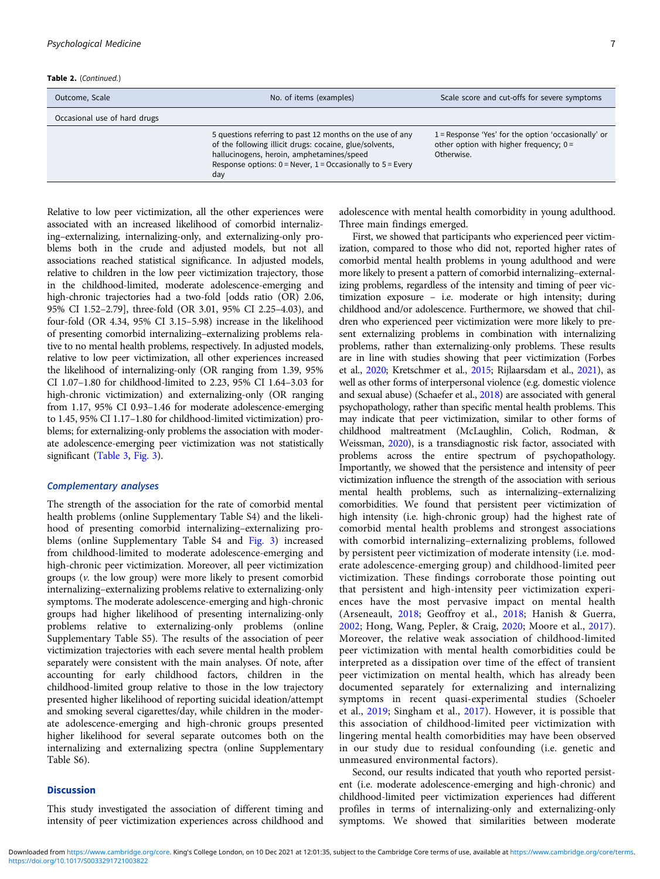Table 2. (Continued.)

| Outcome, Scale               | No. of items (examples)                                                                                                                                                                                                                      | Scale score and cut-offs for severe symptoms                                                                     |
|------------------------------|----------------------------------------------------------------------------------------------------------------------------------------------------------------------------------------------------------------------------------------------|------------------------------------------------------------------------------------------------------------------|
| Occasional use of hard drugs |                                                                                                                                                                                                                                              |                                                                                                                  |
|                              | 5 questions referring to past 12 months on the use of any<br>of the following illicit drugs: cocaine, glue/solvents,<br>hallucinogens, heroin, amphetamines/speed<br>Response options: $0 =$ Never, $1 =$ Occasionally to $5 =$ Every<br>day | $1$ = Response 'Yes' for the option 'occasionally' or<br>other option with higher frequency; $0 =$<br>Otherwise. |

Relative to low peer victimization, all the other experiences were associated with an increased likelihood of comorbid internalizing–externalizing, internalizing-only, and externalizing-only problems both in the crude and adjusted models, but not all associations reached statistical significance. In adjusted models, relative to children in the low peer victimization trajectory, those in the childhood-limited, moderate adolescence-emerging and high-chronic trajectories had a two-fold [odds ratio (OR) 2.06, 95% CI 1.52–2.79], three-fold (OR 3.01, 95% CI 2.25–4.03), and four-fold (OR 4.34, 95% CI 3.15–5.98) increase in the likelihood of presenting comorbid internalizing–externalizing problems relative to no mental health problems, respectively. In adjusted models, relative to low peer victimization, all other experiences increased the likelihood of internalizing-only (OR ranging from 1.39, 95% CI 1.07–1.80 for childhood-limited to 2.23, 95% CI 1.64–3.03 for high-chronic victimization) and externalizing-only (OR ranging from 1.17, 95% CI 0.93–1.46 for moderate adolescence-emerging to 1.45, 95% CI 1.17–1.80 for childhood-limited victimization) problems; for externalizing-only problems the association with moderate adolescence-emerging peer victimization was not statistically significant ([Table 3,](#page-8-0) [Fig. 3\)](#page-9-0).

# Complementary analyses

The strength of the association for the rate of comorbid mental health problems (online Supplementary Table S4) and the likelihood of presenting comorbid internalizing–externalizing problems (online Supplementary Table S4 and [Fig. 3](#page-9-0)) increased from childhood-limited to moderate adolescence-emerging and high-chronic peer victimization. Moreover, all peer victimization groups (v. the low group) were more likely to present comorbid internalizing–externalizing problems relative to externalizing-only symptoms. The moderate adolescence-emerging and high-chronic groups had higher likelihood of presenting internalizing-only problems relative to externalizing-only problems (online Supplementary Table S5). The results of the association of peer victimization trajectories with each severe mental health problem separately were consistent with the main analyses. Of note, after accounting for early childhood factors, children in the childhood-limited group relative to those in the low trajectory presented higher likelihood of reporting suicidal ideation/attempt and smoking several cigarettes/day, while children in the moderate adolescence-emerging and high-chronic groups presented higher likelihood for several separate outcomes both on the internalizing and externalizing spectra (online Supplementary Table S6).

#### **Discussion**

This study investigated the association of different timing and intensity of peer victimization experiences across childhood and adolescence with mental health comorbidity in young adulthood. Three main findings emerged.

First, we showed that participants who experienced peer victimization, compared to those who did not, reported higher rates of comorbid mental health problems in young adulthood and were more likely to present a pattern of comorbid internalizing–externalizing problems, regardless of the intensity and timing of peer victimization exposure – i.e. moderate or high intensity; during childhood and/or adolescence. Furthermore, we showed that children who experienced peer victimization were more likely to present externalizing problems in combination with internalizing problems, rather than externalizing-only problems. These results are in line with studies showing that peer victimization (Forbes et al., [2020](#page-10-0); Kretschmer et al., [2015](#page-11-0); Rijlaarsdam et al., [2021](#page-11-0)), as well as other forms of interpersonal violence (e.g. domestic violence and sexual abuse) (Schaefer et al., [2018\)](#page-11-0) are associated with general psychopathology, rather than specific mental health problems. This may indicate that peer victimization, similar to other forms of childhood maltreatment (McLaughlin, Colich, Rodman, & Weissman, [2020](#page-11-0)), is a transdiagnostic risk factor, associated with problems across the entire spectrum of psychopathology. Importantly, we showed that the persistence and intensity of peer victimization influence the strength of the association with serious mental health problems, such as internalizing–externalizing comorbidities. We found that persistent peer victimization of high intensity (i.e. high-chronic group) had the highest rate of comorbid mental health problems and strongest associations with comorbid internalizing–externalizing problems, followed by persistent peer victimization of moderate intensity (i.e. moderate adolescence-emerging group) and childhood-limited peer victimization. These findings corroborate those pointing out that persistent and high-intensity peer victimization experiences have the most pervasive impact on mental health (Arseneault, [2018](#page-10-0); Geoffroy et al., [2018;](#page-10-0) Hanish & Guerra, [2002;](#page-10-0) Hong, Wang, Pepler, & Craig, [2020](#page-10-0); Moore et al., [2017](#page-11-0)). Moreover, the relative weak association of childhood-limited peer victimization with mental health comorbidities could be interpreted as a dissipation over time of the effect of transient peer victimization on mental health, which has already been documented separately for externalizing and internalizing symptoms in recent quasi-experimental studies (Schoeler et al., [2019](#page-11-0); Singham et al., [2017\)](#page-11-0). However, it is possible that this association of childhood-limited peer victimization with lingering mental health comorbidities may have been observed in our study due to residual confounding (i.e. genetic and unmeasured environmental factors).

Second, our results indicated that youth who reported persistent (i.e. moderate adolescence-emerging and high-chronic) and childhood-limited peer victimization experiences had different profiles in terms of internalizing-only and externalizing-only symptoms. We showed that similarities between moderate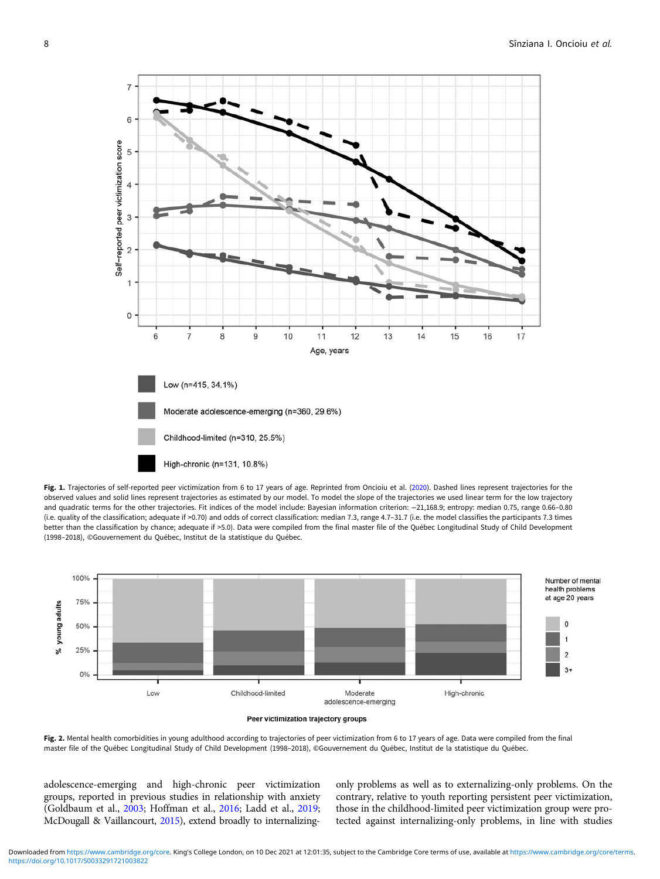<span id="page-7-0"></span>

Fig. 1. Trajectories of self-reported peer victimization from 6 to 17 years of age. Reprinted from Oncioiu et al. ([2020](#page-11-0)). Dashed lines represent trajectories for the observed values and solid lines represent trajectories as estimated by our model. To model the slope of the trajectories we used linear term for the low trajectory and quadratic terms for the other trajectories. Fit indices of the model include: Bayesian information criterion: −21,168.9; entropy: median 0.75, range 0.66–0.80 (i.e. quality of the classification; adequate if >0.70) and odds of correct classification: median 7.3, range 4.7–31.7 (i.e. the model classifies the participants 7.3 times better than the classification by chance; adequate if >5.0). Data were compiled from the final master file of the Québec Longitudinal Study of Child Development (1998–2018), ©Gouvernement du Québec, Institut de la statistique du Québec.





Fig. 2. Mental health comorbidities in young adulthood according to trajectories of peer victimization from 6 to 17 years of age. Data were compiled from the final master file of the Québec Longitudinal Study of Child Development (1998–2018), ©Gouvernement du Québec, Institut de la statistique du Québec.

adolescence-emerging and high-chronic peer victimization groups, reported in previous studies in relationship with anxiety (Goldbaum et al., [2003;](#page-10-0) Hoffman et al., [2016](#page-10-0); Ladd et al., [2019](#page-11-0); McDougall & Vaillancourt, [2015](#page-11-0)), extend broadly to internalizingonly problems as well as to externalizing-only problems. On the contrary, relative to youth reporting persistent peer victimization, those in the childhood-limited peer victimization group were protected against internalizing-only problems, in line with studies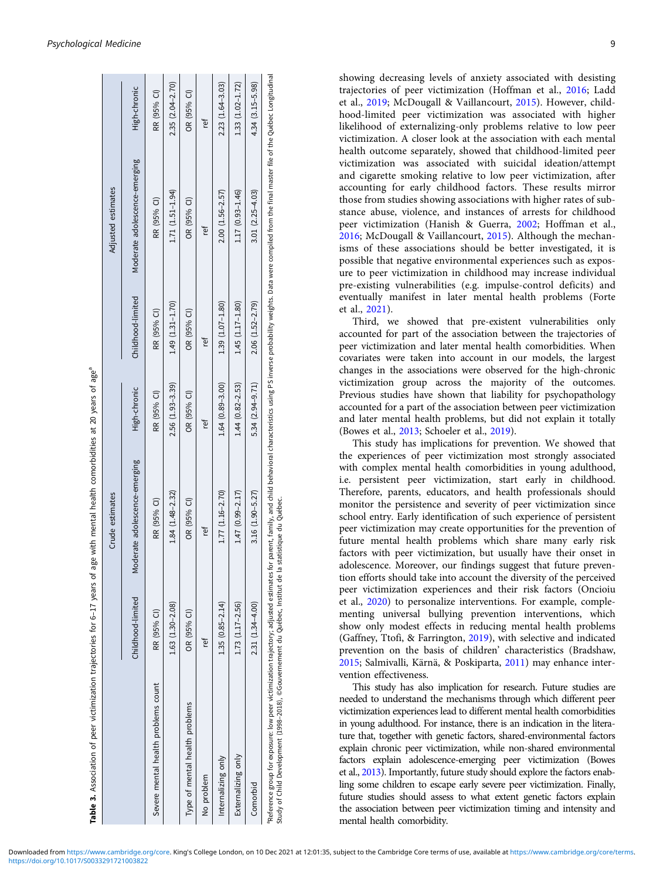<span id="page-8-0"></span>

|                                                                                                                                                                                                                                                                                                                   |                     | Crude estimates                   |                      |                     | Adjusted estimates            |                     |
|-------------------------------------------------------------------------------------------------------------------------------------------------------------------------------------------------------------------------------------------------------------------------------------------------------------------|---------------------|-----------------------------------|----------------------|---------------------|-------------------------------|---------------------|
|                                                                                                                                                                                                                                                                                                                   | Childhood-limited   | oderate adolescence-emerging<br>Σ | High-chronic         | Childhood-limited   | Moderate adolescence-emerging | High-chronic        |
| Severe mental health problems count                                                                                                                                                                                                                                                                               | RR (95% CI)         | RR (95% CI)                       | RR (95% CI)          | RR (95% CI)         | RR (95% CI)                   | RR (95% CI)         |
|                                                                                                                                                                                                                                                                                                                   | $1.63(1.30-2.08)$   | $1.84(1.48-2.32)$                 | $2.56(1.93 - 3.39)$  | $1.49(1.31 - 1.70)$ | $1.71(1.51 - 1.94)$           | $2.35(2.04 - 2.70)$ |
| Type of mental health problems                                                                                                                                                                                                                                                                                    | OR (95% CI)         | OR (95% CI)                       | OR (95% CI)          | OR (95% CI)         | OR (95% CI)                   | OR (95% CI)         |
| No problem                                                                                                                                                                                                                                                                                                        | ίē                  | ţ                                 | ľef                  | ίē                  | tet                           | ίē                  |
| Internalizing only                                                                                                                                                                                                                                                                                                | $1.35(0.85 - 2.14)$ | 1.77 (1.16-2.70)                  | $1.64(0.89 - 3.00)$  | $1.39(1.07 - 1.80)$ | $2.00(1.56 - 2.57)$           | $2.23(1.64 - 3.03)$ |
| Externalizing only                                                                                                                                                                                                                                                                                                | $1.73(1.17 - 2.56)$ | $1.47(0.99 - 2.17)$               | 1.44 $(0.82 - 2.53)$ | $1.45(1.17-1.80)$   | 1.17 (0.93-1.46)              | $1.33(1.02 - 1.72)$ |
| Comorbid                                                                                                                                                                                                                                                                                                          | $2.31(1.34 - 4.00)$ | $3.16(1.90 - 5.27)$               | $5.34(2.94 - 9.71)$  | $2.06(1.52 - 2.79)$ | $3.01(2.25 - 4.03)$           | $4.34(3.15 - 5.98)$ |
| Peference group for exposure: low peer vidimization trajectory; adjusted estimates for parent, family, and child behavioral characteristics using PS inverse probability weights. Data were compiled from the final master fil<br>Study of Child Development (1998-2018), ©Gouvernement du Québec, Institut de la |                     | statistique du Québec             |                      |                     |                               |                     |

Table 3. Association of peer victimization trajectories for 6-17 years of age with mental health comorbidities at 20 years of age<sup>a</sup> Association of peer victimization trajectories for 6–17 years of age with mental health comorbidities at 20 years of agea showing decreasing levels of anxiety associated with desisting trajectories of peer victimization (Hoffman et al., [2016;](#page-10-0) Ladd et al., [2019;](#page-11-0) McDougall & Vaillancourt, [2015](#page-11-0)). However, childhood-limited peer victimization was associated with higher likelihood of externalizing-only problems relative to low peer victimization. A closer look at the association with each mental health outcome separately, showed that childhood-limited peer victimization was associated with suicidal ideation/attempt and cigarette smoking relative to low peer victimization, after accounting for early childhood factors. These results mirror those from studies showing associations with higher rates of substance abuse, violence, and instances of arrests for childhood peer victimization (Hanish & Guerra, [2002](#page-10-0); Hoffman et al., [2016;](#page-10-0) McDougall & Vaillancourt, [2015](#page-11-0)). Although the mechanisms of these associations should be better investigated, it is possible that negative environmental experiences such as exposure to peer victimization in childhood may increase individual pre-existing vulnerabilities (e.g. impulse-control deficits) and eventually manifest in later mental health problems (Forte et al., [2021](#page-10-0)).

Third, we showed that pre-existent vulnerabilities only accounted for part of the association between the trajectories of peer victimization and later mental health comorbidities. When covariates were taken into account in our models, the largest changes in the associations were observed for the high-chronic victimization group across the majority of the outcomes. Previous studies have shown that liability for psychopathology accounted for a part of the association between peer victimization and later mental health problems, but did not explain it totally (Bowes et al., [2013](#page-10-0); Schoeler et al., [2019\)](#page-11-0).

This study has implications for prevention. We showed that the experiences of peer victimization most strongly associated with complex mental health comorbidities in young adulthood, i.e. persistent peer victimization, start early in childhood. Therefore, parents, educators, and health professionals should monitor the persistence and severity of peer victimization since school entry. Early identification of such experience of persistent peer victimization may create opportunities for the prevention of future mental health problems which share many early risk factors with peer victimization, but usually have their onset in adolescence. Moreover, our findings suggest that future prevention efforts should take into account the diversity of the perceived peer victimization experiences and their risk factors (Oncioiu et al., [2020\)](#page-11-0) to personalize interventions. For example, complementing universal bullying prevention interventions, which show only modest effects in reducing mental health problems (Gaffney, Ttofi, & Farrington, [2019](#page-10-0)), with selective and indicated prevention on the basis of children' characteristics (Bradshaw, [2015](#page-10-0); Salmivalli, Kärnä, & Poskiparta, [2011](#page-11-0)) may enhance intervention effectiveness.

This study has also implication for research. Future studies are needed to understand the mechanisms through which different peer victimization experiences lead to different mental health comorbidities in young adulthood. For instance, there is an indication in the literature that, together with genetic factors, shared-environmental factors explain chronic peer victimization, while non-shared environmental factors explain adolescence-emerging peer victimization (Bowes et al., [2013\)](#page-10-0). Importantly, future study should explore the factors enabling some children to escape early severe peer victimization. Finally, future studies should assess to what extent genetic factors explain the association between peer victimization timing and intensity and mental health comorbidity.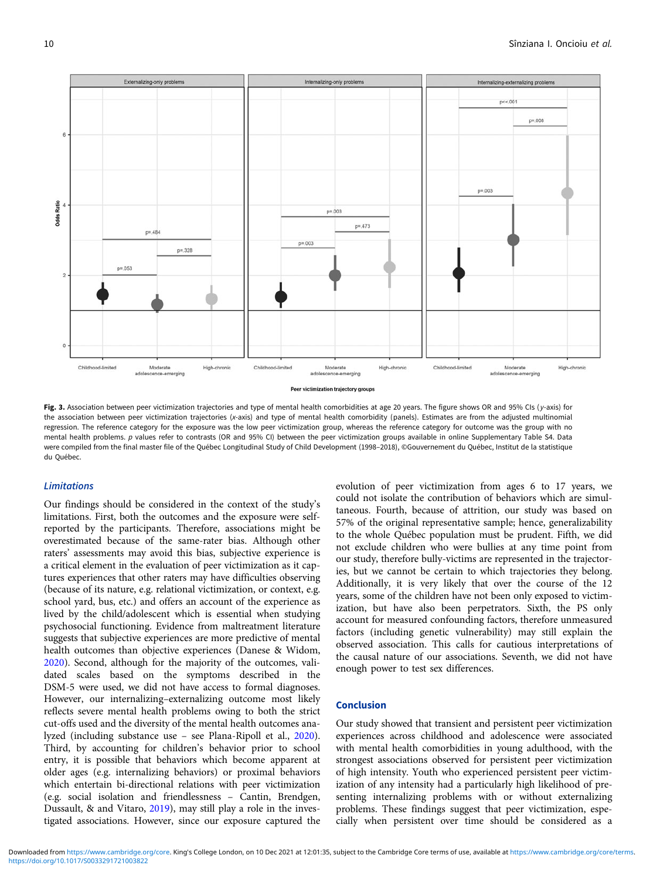<span id="page-9-0"></span>

Fig. 3. Association between peer victimization trajectories and type of mental health comorbidities at age 20 years. The figure shows OR and 95% CIs (y-axis) for the association between peer victimization trajectories (x-axis) and type of mental health comorbidity (panels). Estimates are from the adjusted multinomial regression. The reference category for the exposure was the low peer victimization group, whereas the reference category for outcome was the group with no mental health problems. p values refer to contrasts (OR and 95% CI) between the peer victimization groups available in online Supplementary Table S4. Data were compiled from the final master file of the Québec Longitudinal Study of Child Development (1998–2018), ©Gouvernement du Québec, Institut de la statistique du Québec.

## Limitations

Our findings should be considered in the context of the study's limitations. First, both the outcomes and the exposure were selfreported by the participants. Therefore, associations might be overestimated because of the same-rater bias. Although other raters' assessments may avoid this bias, subjective experience is a critical element in the evaluation of peer victimization as it captures experiences that other raters may have difficulties observing (because of its nature, e.g. relational victimization, or context, e.g. school yard, bus, etc.) and offers an account of the experience as lived by the child/adolescent which is essential when studying psychosocial functioning. Evidence from maltreatment literature suggests that subjective experiences are more predictive of mental health outcomes than objective experiences (Danese & Widom, [2020\)](#page-10-0). Second, although for the majority of the outcomes, validated scales based on the symptoms described in the DSM-5 were used, we did not have access to formal diagnoses. However, our internalizing–externalizing outcome most likely reflects severe mental health problems owing to both the strict cut-offs used and the diversity of the mental health outcomes analyzed (including substance use – see Plana-Ripoll et al., [2020\)](#page-11-0). Third, by accounting for children's behavior prior to school entry, it is possible that behaviors which become apparent at older ages (e.g. internalizing behaviors) or proximal behaviors which entertain bi-directional relations with peer victimization (e.g. social isolation and friendlessness – Cantin, Brendgen, Dussault, & and Vitaro, [2019](#page-10-0)), may still play a role in the investigated associations. However, since our exposure captured the

evolution of peer victimization from ages 6 to 17 years, we could not isolate the contribution of behaviors which are simultaneous. Fourth, because of attrition, our study was based on 57% of the original representative sample; hence, generalizability to the whole Québec population must be prudent. Fifth, we did not exclude children who were bullies at any time point from our study, therefore bully-victims are represented in the trajectories, but we cannot be certain to which trajectories they belong. Additionally, it is very likely that over the course of the 12 years, some of the children have not been only exposed to victimization, but have also been perpetrators. Sixth, the PS only account for measured confounding factors, therefore unmeasured factors (including genetic vulnerability) may still explain the observed association. This calls for cautious interpretations of the causal nature of our associations. Seventh, we did not have enough power to test sex differences.

#### Conclusion

Our study showed that transient and persistent peer victimization experiences across childhood and adolescence were associated with mental health comorbidities in young adulthood, with the strongest associations observed for persistent peer victimization of high intensity. Youth who experienced persistent peer victimization of any intensity had a particularly high likelihood of presenting internalizing problems with or without externalizing problems. These findings suggest that peer victimization, especially when persistent over time should be considered as a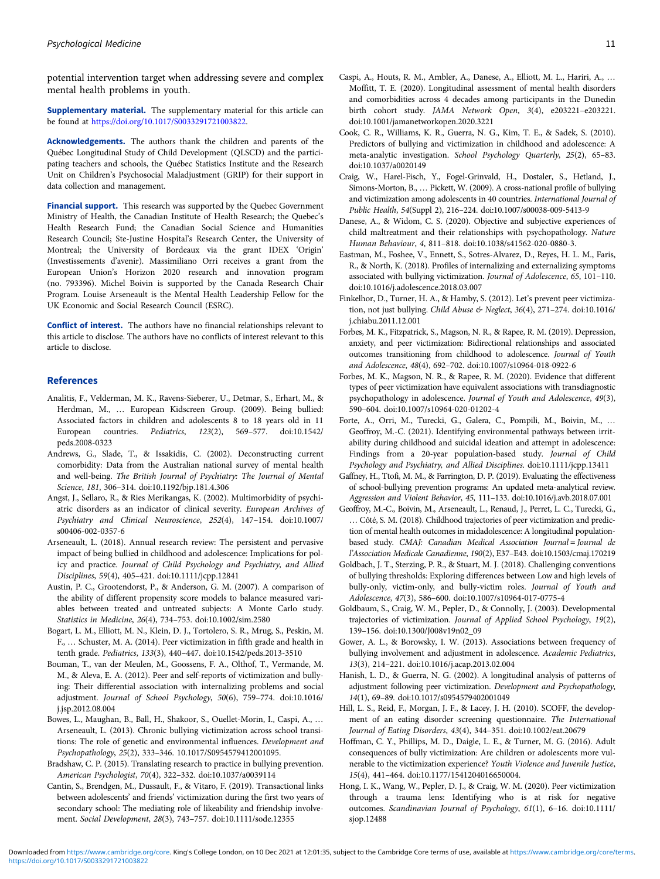<span id="page-10-0"></span>potential intervention target when addressing severe and complex mental health problems in youth.

Supplementary material. The supplementary material for this article can be found at [https://doi.org/10.1017/S0033291721003822.](https://doi.org/10.1017/S0033291721003822)

Acknowledgements. The authors thank the children and parents of the Québec Longitudinal Study of Child Development (QLSCD) and the participating teachers and schools, the Québec Statistics Institute and the Research Unit on Children's Psychosocial Maladjustment (GRIP) for their support in data collection and management.

Financial support. This research was supported by the Quebec Government Ministry of Health, the Canadian Institute of Health Research; the Quebec's Health Research Fund; the Canadian Social Science and Humanities Research Council; Ste-Justine Hospital's Research Center, the University of Montreal; the University of Bordeaux via the grant IDEX 'Origin' (Investissements d'avenir). Massimiliano Orri receives a grant from the European Union's Horizon 2020 research and innovation program (no. 793396). Michel Boivin is supported by the Canada Research Chair Program. Louise Arseneault is the Mental Health Leadership Fellow for the UK Economic and Social Research Council (ESRC).

Conflict of interest. The authors have no financial relationships relevant to this article to disclose. The authors have no conflicts of interest relevant to this article to disclose.

## References

- Analitis, F., Velderman, M. K., Ravens-Sieberer, U., Detmar, S., Erhart, M., & Herdman, M., … European Kidscreen Group. (2009). Being bullied: Associated factors in children and adolescents 8 to 18 years old in 11 European countries. Pediatrics, 123(2), 569–577. doi:10.1542/ peds.2008-0323
- Andrews, G., Slade, T., & Issakidis, C. (2002). Deconstructing current comorbidity: Data from the Australian national survey of mental health and well-being. The British Journal of Psychiatry: The Journal of Mental Science, 181, 306–314. doi:10.1192/bjp.181.4.306
- Angst, J., Sellaro, R., & Ries Merikangas, K. (2002). Multimorbidity of psychiatric disorders as an indicator of clinical severity. European Archives of Psychiatry and Clinical Neuroscience, 252(4), 147–154. doi:10.1007/ s00406-002-0357-6
- Arseneault, L. (2018). Annual research review: The persistent and pervasive impact of being bullied in childhood and adolescence: Implications for policy and practice. Journal of Child Psychology and Psychiatry, and Allied Disciplines, 59(4), 405–421. doi:10.1111/jcpp.12841
- Austin, P. C., Grootendorst, P., & Anderson, G. M. (2007). A comparison of the ability of different propensity score models to balance measured variables between treated and untreated subjects: A Monte Carlo study. Statistics in Medicine, 26(4), 734–753. doi:10.1002/sim.2580
- Bogart, L. M., Elliott, M. N., Klein, D. J., Tortolero, S. R., Mrug, S., Peskin, M. F., … Schuster, M. A. (2014). Peer victimization in fifth grade and health in tenth grade. Pediatrics, 133(3), 440–447. doi:10.1542/peds.2013-3510
- Bouman, T., van der Meulen, M., Goossens, F. A., Olthof, T., Vermande, M. M., & Aleva, E. A. (2012). Peer and self-reports of victimization and bullying: Their differential association with internalizing problems and social adjustment. Journal of School Psychology, 50(6), 759–774. doi:10.1016/ j.jsp.2012.08.004
- Bowes, L., Maughan, B., Ball, H., Shakoor, S., Ouellet-Morin, I., Caspi, A., … Arseneault, L. (2013). Chronic bullying victimization across school transitions: The role of genetic and environmental influences. Development and Psychopathology, 25(2), 333–346. 10.1017/S0954579412001095.
- Bradshaw, C. P. (2015). Translating research to practice in bullying prevention. American Psychologist, 70(4), 322–332. doi:10.1037/a0039114
- Cantin, S., Brendgen, M., Dussault, F., & Vitaro, F. (2019). Transactional links between adolescents' and friends' victimization during the first two years of secondary school: The mediating role of likeability and friendship involvement. Social Development, 28(3), 743–757. doi:10.1111/sode.12355
- Caspi, A., Houts, R. M., Ambler, A., Danese, A., Elliott, M. L., Hariri, A., … Moffitt, T. E. (2020). Longitudinal assessment of mental health disorders and comorbidities across 4 decades among participants in the Dunedin birth cohort study. JAMA Network Open, 3(4), e203221–e203221. doi:10.1001/jamanetworkopen.2020.3221
- Cook, C. R., Williams, K. R., Guerra, N. G., Kim, T. E., & Sadek, S. (2010). Predictors of bullying and victimization in childhood and adolescence: A meta-analytic investigation. School Psychology Quarterly, 25(2), 65–83. doi:10.1037/a0020149
- Craig, W., Harel-Fisch, Y., Fogel-Grinvald, H., Dostaler, S., Hetland, J., Simons-Morton, B., … Pickett, W. (2009). A cross-national profile of bullying and victimization among adolescents in 40 countries. International Journal of Public Health, 54(Suppl 2), 216–224. doi:10.1007/s00038-009-5413-9
- Danese, A., & Widom, C. S. (2020). Objective and subjective experiences of child maltreatment and their relationships with psychopathology. Nature Human Behaviour, 4, 811–818. doi:10.1038/s41562-020-0880-3.
- Eastman, M., Foshee, V., Ennett, S., Sotres-Alvarez, D., Reyes, H. L. M., Faris, R., & North, K. (2018). Profiles of internalizing and externalizing symptoms associated with bullying victimization. Journal of Adolescence, 65, 101–110. doi:10.1016/j.adolescence.2018.03.007
- Finkelhor, D., Turner, H. A., & Hamby, S. (2012). Let's prevent peer victimization, not just bullying. Child Abuse & Neglect, 36(4), 271-274. doi:10.1016/ j.chiabu.2011.12.001
- Forbes, M. K., Fitzpatrick, S., Magson, N. R., & Rapee, R. M. (2019). Depression, anxiety, and peer victimization: Bidirectional relationships and associated outcomes transitioning from childhood to adolescence. Journal of Youth and Adolescence, 48(4), 692–702. doi:10.1007/s10964-018-0922-6
- Forbes, M. K., Magson, N. R., & Rapee, R. M. (2020). Evidence that different types of peer victimization have equivalent associations with transdiagnostic psychopathology in adolescence. Journal of Youth and Adolescence, 49(3), 590–604. doi:10.1007/s10964-020-01202-4
- Forte, A., Orri, M., Turecki, G., Galera, C., Pompili, M., Boivin, M., … Geoffroy, M.-C. (2021). Identifying environmental pathways between irritability during childhood and suicidal ideation and attempt in adolescence: Findings from a 20-year population-based study. Journal of Child Psychology and Psychiatry, and Allied Disciplines. doi:10.1111/jcpp.13411
- Gaffney, H., Ttofi, M. M., & Farrington, D. P. (2019). Evaluating the effectiveness of school-bullying prevention programs: An updated meta-analytical review. Aggression and Violent Behavior, 45, 111–133. doi:10.1016/j.avb.2018.07.001
- Geoffroy, M.-C., Boivin, M., Arseneault, L., Renaud, J., Perret, L. C., Turecki, G., … Côté, S. M. (2018). Childhood trajectories of peer victimization and prediction of mental health outcomes in midadolescence: A longitudinal populationbased study. CMAJ: Canadian Medical Association Journal = Journal de l'Association Medicale Canadienne, 190(2), E37–E43. doi:10.1503/cmaj.170219
- Goldbach, J. T., Sterzing, P. R., & Stuart, M. J. (2018). Challenging conventions of bullying thresholds: Exploring differences between Low and high levels of bully-only, victim-only, and bully-victim roles. Journal of Youth and Adolescence, 47(3), 586–600. doi:10.1007/s10964-017-0775-4
- Goldbaum, S., Craig, W. M., Pepler, D., & Connolly, J. (2003). Developmental trajectories of victimization. Journal of Applied School Psychology, 19(2), 139–156. doi:10.1300/J008v19n02\_09
- Gower, A. L., & Borowsky, I. W. (2013). Associations between frequency of bullying involvement and adjustment in adolescence. Academic Pediatrics, 13(3), 214–221. doi:10.1016/j.acap.2013.02.004
- Hanish, L. D., & Guerra, N. G. (2002). A longitudinal analysis of patterns of adjustment following peer victimization. Development and Psychopathology, 14(1), 69–89. doi:10.1017/s0954579402001049
- Hill, L. S., Reid, F., Morgan, J. F., & Lacey, J. H. (2010). SCOFF, the development of an eating disorder screening questionnaire. The International Journal of Eating Disorders, 43(4), 344–351. doi:10.1002/eat.20679
- Hoffman, C. Y., Phillips, M. D., Daigle, L. E., & Turner, M. G. (2016). Adult consequences of bully victimization: Are children or adolescents more vulnerable to the victimization experience? Youth Violence and Juvenile Justice, 15(4), 441–464. doi:10.1177/1541204016650004.
- Hong, I. K., Wang, W., Pepler, D. J., & Craig, W. M. (2020). Peer victimization through a trauma lens: Identifying who is at risk for negative outcomes. Scandinavian Journal of Psychology, 61(1), 6–16. doi:10.1111/ sjop.12488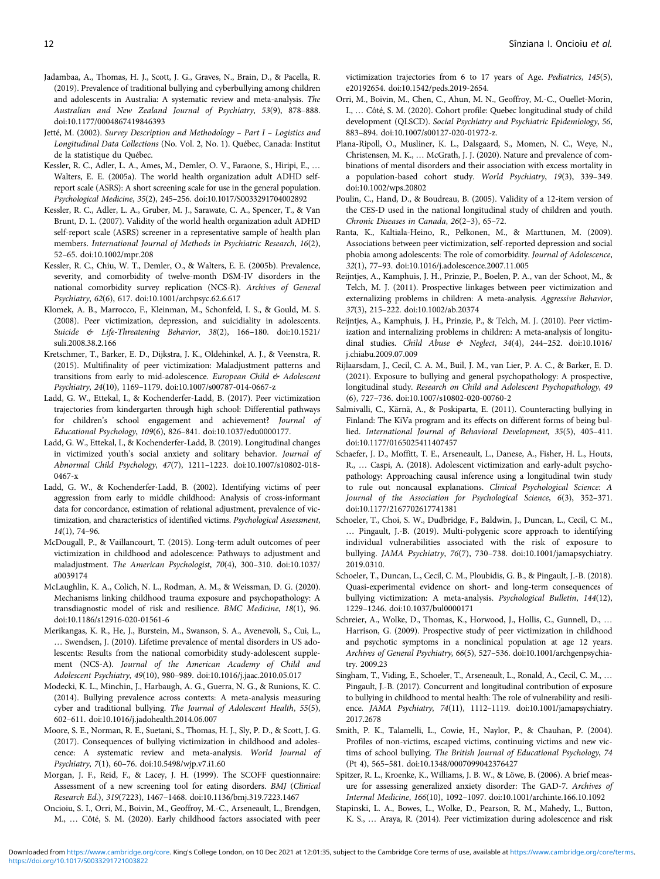- <span id="page-11-0"></span>Jadambaa, A., Thomas, H. J., Scott, J. G., Graves, N., Brain, D., & Pacella, R. (2019). Prevalence of traditional bullying and cyberbullying among children and adolescents in Australia: A systematic review and meta-analysis. The Australian and New Zealand Journal of Psychiatry, 53(9), 878–888. doi:10.1177/0004867419846393
- Jetté, M. (2002). Survey Description and Methodology Part I Logistics and Longitudinal Data Collections (No. Vol. 2, No. 1). Québec, Canada: Institut de la statistique du Québec.
- Kessler, R. C., Adler, L. A., Ames, M., Demler, O. V., Faraone, S., Hiripi, E., … Walters, E. E. (2005a). The world health organization adult ADHD selfreport scale (ASRS): A short screening scale for use in the general population. Psychological Medicine, 35(2), 245–256. doi:10.1017/S0033291704002892
- Kessler, R. C., Adler, L. A., Gruber, M. J., Sarawate, C. A., Spencer, T., & Van Brunt, D. L. (2007). Validity of the world health organization adult ADHD self-report scale (ASRS) screener in a representative sample of health plan members. International Journal of Methods in Psychiatric Research, 16(2), 52–65. doi:10.1002/mpr.208
- Kessler, R. C., Chiu, W. T., Demler, O., & Walters, E. E. (2005b). Prevalence, severity, and comorbidity of twelve-month DSM-IV disorders in the national comorbidity survey replication (NCS-R). Archives of General Psychiatry, 62(6), 617. doi:10.1001/archpsyc.62.6.617
- Klomek, A. B., Marrocco, F., Kleinman, M., Schonfeld, I. S., & Gould, M. S. (2008). Peer victimization, depression, and suicidiality in adolescents. Suicide & Life-Threatening Behavior, 38(2), 166–180. doi:10.1521/ suli.2008.38.2.166
- Kretschmer, T., Barker, E. D., Dijkstra, J. K., Oldehinkel, A. J., & Veenstra, R. (2015). Multifinality of peer victimization: Maladjustment patterns and transitions from early to mid-adolescence. European Child & Adolescent Psychiatry, 24(10), 1169–1179. doi:10.1007/s00787-014-0667-z
- Ladd, G. W., Ettekal, I., & Kochenderfer-Ladd, B. (2017). Peer victimization trajectories from kindergarten through high school: Differential pathways for children's school engagement and achievement? Journal of Educational Psychology, 109(6), 826–841. doi:10.1037/edu0000177.
- Ladd, G. W., Ettekal, I., & Kochenderfer-Ladd, B. (2019). Longitudinal changes in victimized youth's social anxiety and solitary behavior. Journal of Abnormal Child Psychology, 47(7), 1211–1223. doi:10.1007/s10802-018- 0467-x
- Ladd, G. W., & Kochenderfer-Ladd, B. (2002). Identifying victims of peer aggression from early to middle childhood: Analysis of cross-informant data for concordance, estimation of relational adjustment, prevalence of victimization, and characteristics of identified victims. Psychological Assessment, 14(1), 74–96.
- McDougall, P., & Vaillancourt, T. (2015). Long-term adult outcomes of peer victimization in childhood and adolescence: Pathways to adjustment and maladjustment. The American Psychologist, 70(4), 300–310. doi:10.1037/ a0039174
- McLaughlin, K. A., Colich, N. L., Rodman, A. M., & Weissman, D. G. (2020). Mechanisms linking childhood trauma exposure and psychopathology: A transdiagnostic model of risk and resilience. BMC Medicine, 18(1), 96. doi:10.1186/s12916-020-01561-6
- Merikangas, K. R., He, J., Burstein, M., Swanson, S. A., Avenevoli, S., Cui, L., … Swendsen, J. (2010). Lifetime prevalence of mental disorders in US adolescents: Results from the national comorbidity study-adolescent supplement (NCS-A). Journal of the American Academy of Child and Adolescent Psychiatry, 49(10), 980–989. doi:10.1016/j.jaac.2010.05.017
- Modecki, K. L., Minchin, J., Harbaugh, A. G., Guerra, N. G., & Runions, K. C. (2014). Bullying prevalence across contexts: A meta-analysis measuring cyber and traditional bullying. The Journal of Adolescent Health, 55(5), 602–611. doi:10.1016/j.jadohealth.2014.06.007
- Moore, S. E., Norman, R. E., Suetani, S., Thomas, H. J., Sly, P. D., & Scott, J. G. (2017). Consequences of bullying victimization in childhood and adolescence: A systematic review and meta-analysis. World Journal of Psychiatry, 7(1), 60–76. doi:10.5498/wjp.v7.i1.60
- Morgan, J. F., Reid, F., & Lacey, J. H. (1999). The SCOFF questionnaire: Assessment of a new screening tool for eating disorders. BMJ (Clinical Research Ed.), 319(7223), 1467–1468. doi:10.1136/bmj.319.7223.1467
- Oncioiu, S. I., Orri, M., Boivin, M., Geoffroy, M.-C., Arseneault, L., Brendgen, M., … Côté, S. M. (2020). Early childhood factors associated with peer

victimization trajectories from 6 to 17 years of Age. Pediatrics, 145(5), e20192654. doi:10.1542/peds.2019-2654.

- Orri, M., Boivin, M., Chen, C., Ahun, M. N., Geoffroy, M.-C., Ouellet-Morin, I., … Côté, S. M. (2020). Cohort profile: Quebec longitudinal study of child development (QLSCD). Social Psychiatry and Psychiatric Epidemiology, 56, 883–894. doi:10.1007/s00127-020-01972-z.
- Plana-Ripoll, O., Musliner, K. L., Dalsgaard, S., Momen, N. C., Weye, N., Christensen, M. K., … McGrath, J. J. (2020). Nature and prevalence of combinations of mental disorders and their association with excess mortality in a population-based cohort study. World Psychiatry, 19(3), 339–349. doi:10.1002/wps.20802
- Poulin, C., Hand, D., & Boudreau, B. (2005). Validity of a 12-item version of the CES-D used in the national longitudinal study of children and youth. Chronic Diseases in Canada, 26(2–3), 65–72.
- Ranta, K., Kaltiala-Heino, R., Pelkonen, M., & Marttunen, M. (2009). Associations between peer victimization, self-reported depression and social phobia among adolescents: The role of comorbidity. Journal of Adolescence, 32(1), 77–93. doi:10.1016/j.adolescence.2007.11.005
- Reijntjes, A., Kamphuis, J. H., Prinzie, P., Boelen, P. A., van der Schoot, M., & Telch, M. J. (2011). Prospective linkages between peer victimization and externalizing problems in children: A meta-analysis. Aggressive Behavior, 37(3), 215–222. doi:10.1002/ab.20374
- Reijntjes, A., Kamphuis, J. H., Prinzie, P., & Telch, M. J. (2010). Peer victimization and internalizing problems in children: A meta-analysis of longitudinal studies. Child Abuse & Neglect, 34(4), 244–252. doi:10.1016/ j.chiabu.2009.07.009
- Rijlaarsdam, J., Cecil, C. A. M., Buil, J. M., van Lier, P. A. C., & Barker, E. D. (2021). Exposure to bullying and general psychopathology: A prospective, longitudinal study. Research on Child and Adolescent Psychopathology, 49 (6), 727–736. doi:10.1007/s10802-020-00760-2
- Salmivalli, C., Kärnä, A., & Poskiparta, E. (2011). Counteracting bullying in Finland: The KiVa program and its effects on different forms of being bullied. International Journal of Behavioral Development, 35(5), 405–411. doi:10.1177/0165025411407457
- Schaefer, J. D., Moffitt, T. E., Arseneault, L., Danese, A., Fisher, H. L., Houts, R., … Caspi, A. (2018). Adolescent victimization and early-adult psychopathology: Approaching causal inference using a longitudinal twin study to rule out noncausal explanations. Clinical Psychological Science: A Journal of the Association for Psychological Science, 6(3), 352–371. doi:10.1177/2167702617741381
- Schoeler, T., Choi, S. W., Dudbridge, F., Baldwin, J., Duncan, L., Cecil, C. M., … Pingault, J.-B. (2019). Multi-polygenic score approach to identifying individual vulnerabilities associated with the risk of exposure to bullying. JAMA Psychiatry, 76(7), 730–738. doi:10.1001/jamapsychiatry. 2019.0310.
- Schoeler, T., Duncan, L., Cecil, C. M., Ploubidis, G. B., & Pingault, J.-B. (2018). Quasi-experimental evidence on short- and long-term consequences of bullying victimization: A meta-analysis. Psychological Bulletin, 144(12), 1229–1246. doi:10.1037/bul0000171
- Schreier, A., Wolke, D., Thomas, K., Horwood, J., Hollis, C., Gunnell, D., … Harrison, G. (2009). Prospective study of peer victimization in childhood and psychotic symptoms in a nonclinical population at age 12 years. Archives of General Psychiatry, 66(5), 527–536. doi:10.1001/archgenpsychiatry. 2009.23
- Singham, T., Viding, E., Schoeler, T., Arseneault, L., Ronald, A., Cecil, C. M., … Pingault, J.-B. (2017). Concurrent and longitudinal contribution of exposure to bullying in childhood to mental health: The role of vulnerability and resilience. JAMA Psychiatry, 74(11), 1112–1119. doi:10.1001/jamapsychiatry. 2017.2678
- Smith, P. K., Talamelli, L., Cowie, H., Naylor, P., & Chauhan, P. (2004). Profiles of non-victims, escaped victims, continuing victims and new victims of school bullying. The British Journal of Educational Psychology, 74 (Pt 4), 565–581. doi:10.1348/0007099042376427
- Spitzer, R. L., Kroenke, K., Williams, J. B. W., & Löwe, B. (2006). A brief measure for assessing generalized anxiety disorder: The GAD-7. Archives of Internal Medicine, 166(10), 1092–1097. doi:10.1001/archinte.166.10.1092
- Stapinski, L. A., Bowes, L., Wolke, D., Pearson, R. M., Mahedy, L., Button, K. S., … Araya, R. (2014). Peer victimization during adolescence and risk